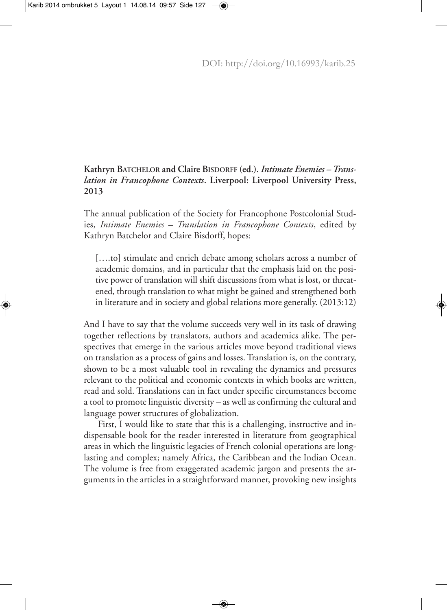## **Kathryn BATCHELOR and Claire BISDORFF (ed.).** *Intimate Enemies – Translation in Francophone Contexts***. Liverpool: Liverpool University Press, 2013**

The annual publication of the Society for Francophone Postcolonial Studies, *Intimate Enemies – Translation in Francophone Contexts*, edited by Kathryn Batchelor and Claire Bisdorff, hopes:

[....to] stimulate and enrich debate among scholars across a number of academic domains, and in particular that the emphasis laid on the positive power of translation will shift discussions from what is lost, or threatened, through translation to what might be gained and strengthened both in literature and in society and global relations more generally. (2013:12)

And I have to say that the volume succeeds very well in its task of drawing together reflections by translators, authors and academics alike. The perspectives that emerge in the various articles move beyond traditional views on translation as a process of gains and losses.Translation is, on the contrary, shown to be a most valuable tool in revealing the dynamics and pressures relevant to the political and economic contexts in which books are written, read and sold. Translations can in fact under specific circumstances become a tool to promote linguistic diversity – as well as confirming the cultural and language power structures of globalization.

First, I would like to state that this is a challenging, instructive and indispensable book for the reader interested in literature from geographical areas in which the linguistic legacies of French colonial operations are longlasting and complex; namely Africa, the Caribbean and the Indian Ocean. The volume is free from exaggerated academic jargon and presents the arguments in the articles in a straightforward manner, provoking new insights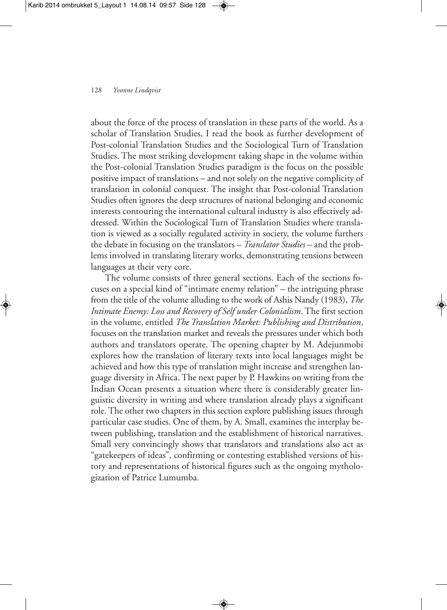about the force of the process of translation in these parts of the world. As a scholar of Translation Studies, I read the book as further development of Post-colonial Translation Studies and the Sociological Turn of Translation Studies. The most striking development taking shape in the volume within the Post-colonial Translation Studies paradigm is the focus on the possible positive impact of translations – and not solely on the negative complicity of translation in colonial conquest. The insight that Post-colonial Translation Studies often ignores the deep structures of national belonging and economic interests contouring the international cultural industry is also effectively addressed. Within the Sociological Turn of Translation Studies where translation is viewed as a socially regulated activity in society, the volume furthers the debate in focusing on the translators – *Translator Studies* – and the problems involved in translating literary works, demonstrating tensions between languages at their very core.

The volume consists of three general sections. Each of the sections focuses on a special kind of "intimate enemy relation" – the intriguing phrase from the title of the volume alluding to the work of Ashis Nandy (1983), *The Intimate Enemy: Loss and Recovery of Self under Colonialism*. The first section in the volume, entitled *The Translation Market: Publishing and Distribution*, focuses on the translation market and reveals the pressures under which both authors and translators operate. The opening chapter by M. Adejunmobi explores how the translation of literary texts into local languages might be achieved and how this type of translation might increase and strengthen language diversity in Africa. The next paper by P. Hawkins on writing from the Indian Ocean presents a situation where there is considerably greater linguistic diversity in writing and where translation already plays a significant role.The other two chapters in this section explore publishing issues through particular case studies. One of them, by A. Small, examines the interplay between publishing, translation and the establishment of historical narratives. Small very convincingly shows that translators and translations also act as "gatekeepers of ideas", confirming or contesting established versions of history and representations of historical figures such as the ongoing mythologization of Patrice Lumumba.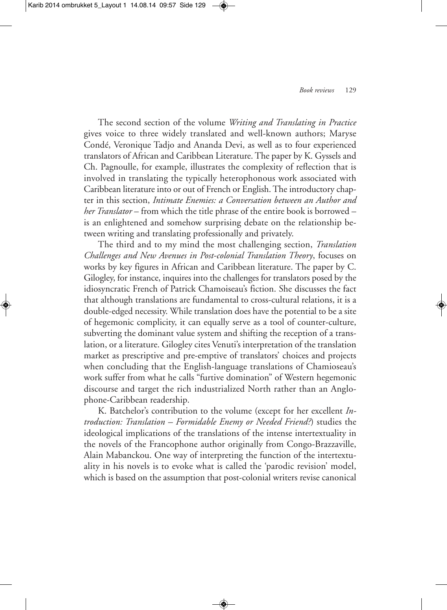The second section of the volume *Writing and Translating in Practice* gives voice to three widely translated and well-known authors; Maryse Condé, Veronique Tadjo and Ananda Devi, as well as to four experienced translators of African and Caribbean Literature.The paper by K. Gyssels and Ch. Pagnoulle, for example, illustrates the complexity of reflection that is involved in translating the typically heterophonous work associated with Caribbean literature into or out of French or English.The introductory chapter in this section, *Intimate Enemies: a Conversation between an Author and her Translator* – from which the title phrase of the entire book is borrowed – is an enlightened and somehow surprising debate on the relationship between writing and translating professionally and privately.

The third and to my mind the most challenging section, *Translation Challenges and New Avenues in Post-colonial Translation Theory*, focuses on works by key figures in African and Caribbean literature. The paper by C. Gilogley, for instance, inquires into the challenges for translators posed by the idiosyncratic French of Patrick Chamoiseau's fiction. She discusses the fact that although translations are fundamental to cross-cultural relations, it is a double-edged necessity. While translation does have the potential to be a site of hegemonic complicity, it can equally serve as a tool of counter-culture, subverting the dominant value system and shifting the reception of a translation, or a literature. Gilogley cites Venuti's interpretation of the translation market as prescriptive and pre-emptive of translators' choices and projects when concluding that the English-language translations of Chamioseau's work suffer from what he calls "furtive domination" of Western hegemonic discourse and target the rich industrialized North rather than an Anglophone-Caribbean readership.

K. Batchelor's contribution to the volume (except for her excellent *Introduction: Translation – Formidable Enemy or Needed Friend?*) studies the ideological implications of the translations of the intense intertextuality in the novels of the Francophone author originally from Congo-Brazzaville, Alain Mabanckou. One way of interpreting the function of the intertextuality in his novels is to evoke what is called the 'parodic revision' model, which is based on the assumption that post-colonial writers revise canonical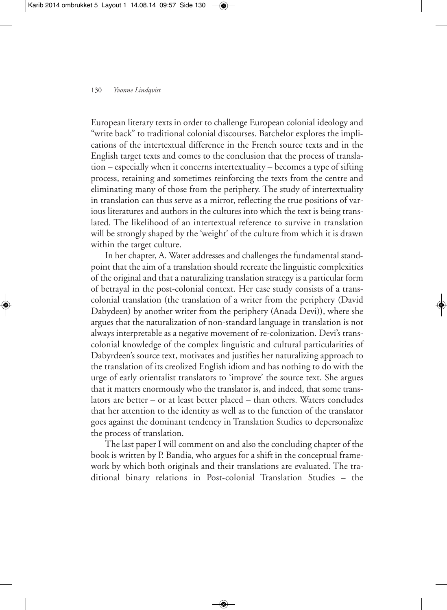European literary texts in order to challenge European colonial ideology and "write back" to traditional colonial discourses. Batchelor explores the implications of the intertextual difference in the French source texts and in the English target texts and comes to the conclusion that the process of translation – especially when it concerns intertextuality – becomes a type of sifting process, retaining and sometimes reinforcing the texts from the centre and eliminating many of those from the periphery. The study of intertextuality in translation can thus serve as a mirror, reflecting the true positions of various literatures and authors in the cultures into which the text is being translated. The likelihood of an intertextual reference to survive in translation will be strongly shaped by the 'weight' of the culture from which it is drawn within the target culture.

In her chapter, A. Water addresses and challenges the fundamental standpoint that the aim of a translation should recreate the linguistic complexities of the original and that a naturalizing translation strategy is a particular form of betrayal in the post-colonial context. Her case study consists of a transcolonial translation (the translation of a writer from the periphery (David Dabydeen) by another writer from the periphery (Anada Devi)), where she argues that the naturalization of non-standard language in translation is not always interpretable as a negative movement of re-colonization. Devi's transcolonial knowledge of the complex linguistic and cultural particularities of Dabyrdeen's source text, motivates and justifies her naturalizing approach to the translation of its creolized English idiom and has nothing to do with the urge of early orientalist translators to 'improve' the source text. She argues that it matters enormously who the translator is, and indeed, that some translators are better – or at least better placed – than others. Waters concludes that her attention to the identity as well as to the function of the translator goes against the dominant tendency in Translation Studies to depersonalize the process of translation.

The last paper I will comment on and also the concluding chapter of the book is written by P. Bandia, who argues for a shift in the conceptual framework by which both originals and their translations are evaluated. The traditional binary relations in Post-colonial Translation Studies – the